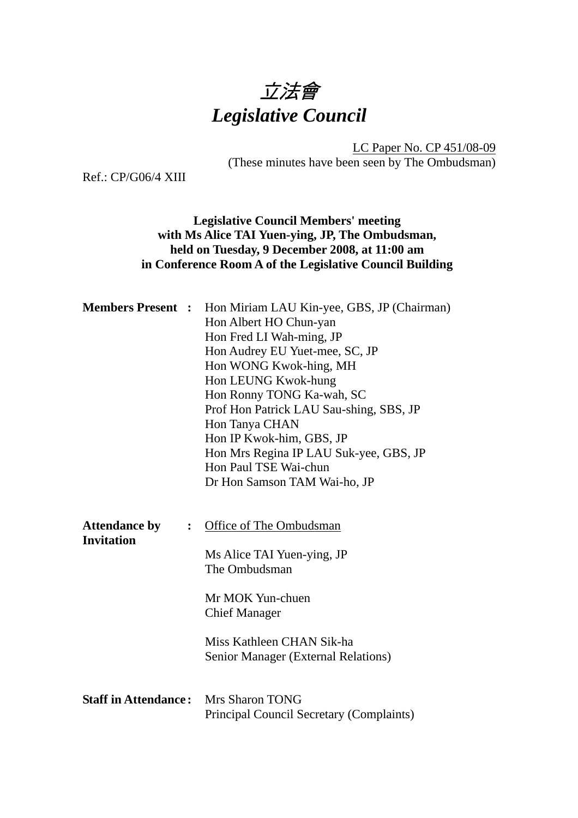

LC Paper No. CP 451/08-09 (These minutes have been seen by The Ombudsman)

Ref.: CP/G06/4 XIII

# **Legislative Council Members' meeting with Ms Alice TAI Yuen-ying, JP, The Ombudsman, held on Tuesday, 9 December 2008, at 11:00 am in Conference Room A of the Legislative Council Building**

| <b>Members Present :</b>                                    | Hon Miriam LAU Kin-yee, GBS, JP (Chairman)<br>Hon Albert HO Chun-yan<br>Hon Fred LI Wah-ming, JP<br>Hon Audrey EU Yuet-mee, SC, JP<br>Hon WONG Kwok-hing, MH<br>Hon LEUNG Kwok-hung<br>Hon Ronny TONG Ka-wah, SC<br>Prof Hon Patrick LAU Sau-shing, SBS, JP<br>Hon Tanya CHAN<br>Hon IP Kwok-him, GBS, JP<br>Hon Mrs Regina IP LAU Suk-yee, GBS, JP<br>Hon Paul TSE Wai-chun<br>Dr Hon Samson TAM Wai-ho, JP |  |
|-------------------------------------------------------------|--------------------------------------------------------------------------------------------------------------------------------------------------------------------------------------------------------------------------------------------------------------------------------------------------------------------------------------------------------------------------------------------------------------|--|
| <b>Attendance by</b><br>$\ddot{\cdot}$<br><b>Invitation</b> | Office of The Ombudsman<br>Ms Alice TAI Yuen-ying, JP<br>The Ombudsman<br>Mr MOK Yun-chuen<br><b>Chief Manager</b><br>Miss Kathleen CHAN Sik-ha<br>Senior Manager (External Relations)                                                                                                                                                                                                                       |  |
| <b>Staff in Attendance:</b>                                 | Mrs Sharon TONG<br>Principal Council Secretary (Complaints)                                                                                                                                                                                                                                                                                                                                                  |  |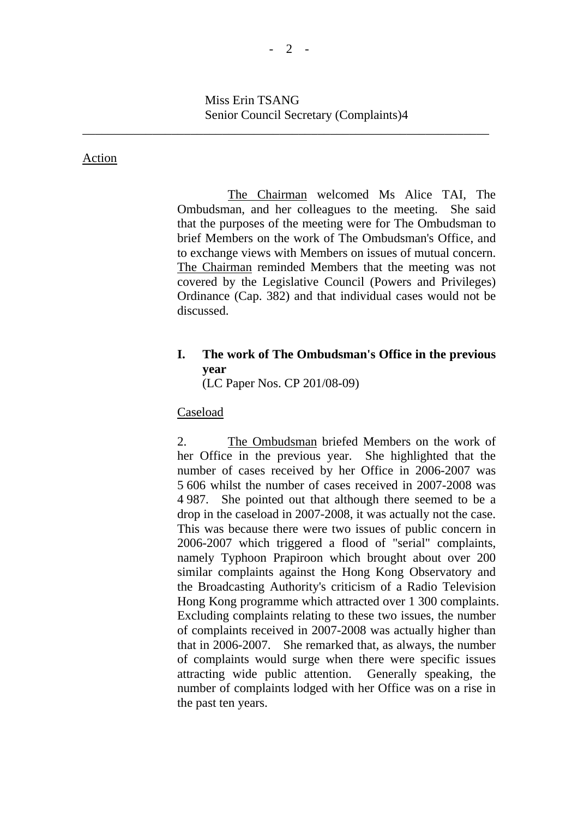### Action

The Chairman welcomed Ms Alice TAI, The Ombudsman, and her colleagues to the meeting. She said that the purposes of the meeting were for The Ombudsman to brief Members on the work of The Ombudsman's Office, and to exchange views with Members on issues of mutual concern. The Chairman reminded Members that the meeting was not covered by the Legislative Council (Powers and Privileges) Ordinance (Cap. 382) and that individual cases would not be discussed.

# **I. The work of The Ombudsman's Office in the previous year**

(LC Paper Nos. CP 201/08-09)

### Caseload

2. The Ombudsman briefed Members on the work of her Office in the previous year. She highlighted that the number of cases received by her Office in 2006-2007 was 5 606 whilst the number of cases received in 2007-2008 was 4 987. She pointed out that although there seemed to be a drop in the caseload in 2007-2008, it was actually not the case. This was because there were two issues of public concern in 2006-2007 which triggered a flood of "serial" complaints, namely Typhoon Prapiroon which brought about over 200 similar complaints against the Hong Kong Observatory and the Broadcasting Authority's criticism of a Radio Television Hong Kong programme which attracted over 1 300 complaints. Excluding complaints relating to these two issues, the number of complaints received in 2007-2008 was actually higher than that in 2006-2007. She remarked that, as always, the number of complaints would surge when there were specific issues attracting wide public attention. Generally speaking, the number of complaints lodged with her Office was on a rise in the past ten years.

\_\_\_\_\_\_\_\_\_\_\_\_\_\_\_\_\_\_\_\_\_\_\_\_\_\_\_\_\_\_\_\_\_\_\_\_\_\_\_\_\_\_\_\_\_\_\_\_\_\_\_\_\_\_\_\_\_\_\_\_\_\_\_\_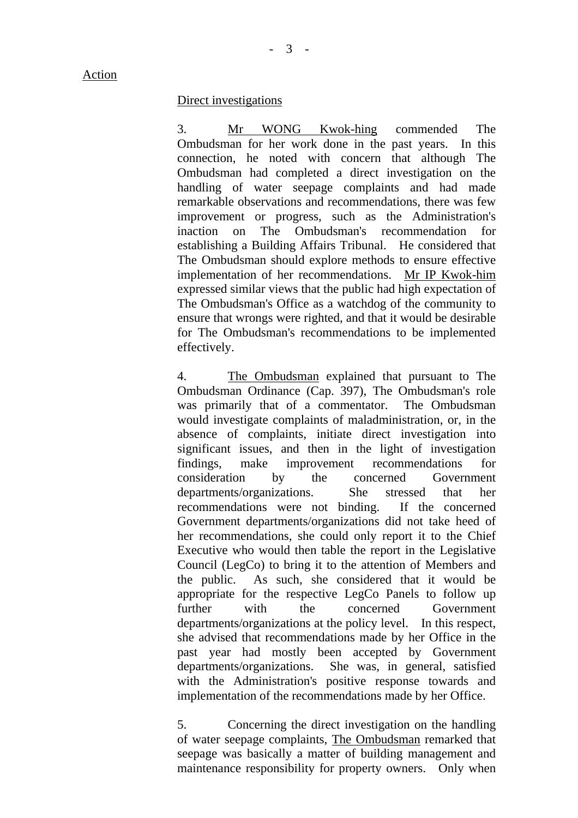#### Direct investigations

3. Mr WONG Kwok-hing commended The Ombudsman for her work done in the past years. In this connection, he noted with concern that although The Ombudsman had completed a direct investigation on the handling of water seepage complaints and had made remarkable observations and recommendations, there was few improvement or progress, such as the Administration's inaction on The Ombudsman's recommendation for establishing a Building Affairs Tribunal. He considered that The Ombudsman should explore methods to ensure effective implementation of her recommendations. Mr IP Kwok-him expressed similar views that the public had high expectation of The Ombudsman's Office as a watchdog of the community to ensure that wrongs were righted, and that it would be desirable for The Ombudsman's recommendations to be implemented effectively.

4. The Ombudsman explained that pursuant to The Ombudsman Ordinance (Cap. 397), The Ombudsman's role was primarily that of a commentator. The Ombudsman would investigate complaints of maladministration, or, in the absence of complaints, initiate direct investigation into significant issues, and then in the light of investigation findings, make improvement recommendations for consideration by the concerned Government departments/organizations. She stressed that her recommendations were not binding. If the concerned Government departments/organizations did not take heed of her recommendations, she could only report it to the Chief Executive who would then table the report in the Legislative Council (LegCo) to bring it to the attention of Members and the public. As such, she considered that it would be appropriate for the respective LegCo Panels to follow up further with the concerned Government departments/organizations at the policy level. In this respect, she advised that recommendations made by her Office in the past year had mostly been accepted by Government departments/organizations. She was, in general, satisfied with the Administration's positive response towards and implementation of the recommendations made by her Office.

5. Concerning the direct investigation on the handling of water seepage complaints, The Ombudsman remarked that seepage was basically a matter of building management and maintenance responsibility for property owners. Only when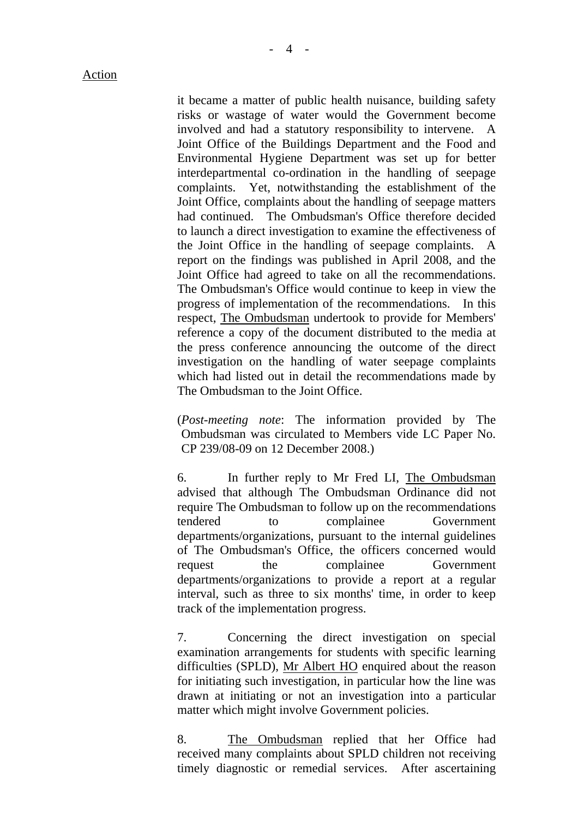it became a matter of public health nuisance, building safety risks or wastage of water would the Government become involved and had a statutory responsibility to intervene. A Joint Office of the Buildings Department and the Food and Environmental Hygiene Department was set up for better interdepartmental co-ordination in the handling of seepage complaints. Yet, notwithstanding the establishment of the Joint Office, complaints about the handling of seepage matters had continued. The Ombudsman's Office therefore decided to launch a direct investigation to examine the effectiveness of the Joint Office in the handling of seepage complaints. A report on the findings was published in April 2008, and the Joint Office had agreed to take on all the recommendations. The Ombudsman's Office would continue to keep in view the progress of implementation of the recommendations. In this respect, The Ombudsman undertook to provide for Members' reference a copy of the document distributed to the media at the press conference announcing the outcome of the direct investigation on the handling of water seepage complaints which had listed out in detail the recommendations made by The Ombudsman to the Joint Office.

(*Post-meeting note*: The information provided by The Ombudsman was circulated to Members vide LC Paper No. CP 239/08-09 on 12 December 2008.)

6. In further reply to Mr Fred LI, The Ombudsman advised that although The Ombudsman Ordinance did not require The Ombudsman to follow up on the recommendations tendered to complainee Government departments/organizations, pursuant to the internal guidelines of The Ombudsman's Office, the officers concerned would request the complainee Government departments/organizations to provide a report at a regular interval, such as three to six months' time, in order to keep track of the implementation progress.

7. Concerning the direct investigation on special examination arrangements for students with specific learning difficulties (SPLD), Mr Albert HO enquired about the reason for initiating such investigation, in particular how the line was drawn at initiating or not an investigation into a particular matter which might involve Government policies.

8. The Ombudsman replied that her Office had received many complaints about SPLD children not receiving timely diagnostic or remedial services. After ascertaining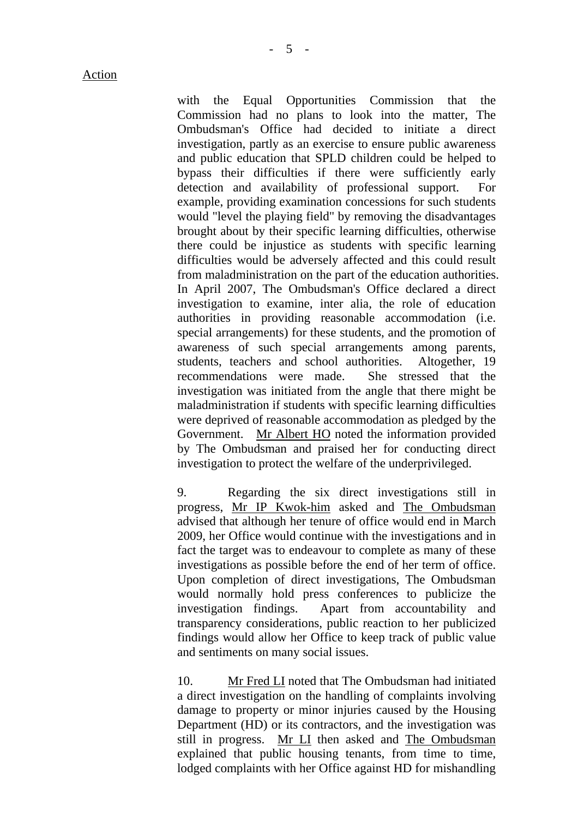with the Equal Opportunities Commission that the Commission had no plans to look into the matter, The Ombudsman's Office had decided to initiate a direct investigation, partly as an exercise to ensure public awareness and public education that SPLD children could be helped to bypass their difficulties if there were sufficiently early detection and availability of professional support. For example, providing examination concessions for such students would "level the playing field" by removing the disadvantages brought about by their specific learning difficulties, otherwise there could be injustice as students with specific learning difficulties would be adversely affected and this could result from maladministration on the part of the education authorities. In April 2007, The Ombudsman's Office declared a direct investigation to examine, inter alia, the role of education authorities in providing reasonable accommodation (i.e. special arrangements) for these students, and the promotion of awareness of such special arrangements among parents, students, teachers and school authorities. Altogether, 19 recommendations were made. She stressed that the investigation was initiated from the angle that there might be maladministration if students with specific learning difficulties were deprived of reasonable accommodation as pledged by the Government. Mr Albert HO noted the information provided by The Ombudsman and praised her for conducting direct investigation to protect the welfare of the underprivileged.

9. Regarding the six direct investigations still in progress, Mr IP Kwok-him asked and The Ombudsman advised that although her tenure of office would end in March 2009, her Office would continue with the investigations and in fact the target was to endeavour to complete as many of these investigations as possible before the end of her term of office. Upon completion of direct investigations, The Ombudsman would normally hold press conferences to publicize the investigation findings. Apart from accountability and transparency considerations, public reaction to her publicized findings would allow her Office to keep track of public value and sentiments on many social issues.

10. Mr Fred LI noted that The Ombudsman had initiated a direct investigation on the handling of complaints involving damage to property or minor injuries caused by the Housing Department (HD) or its contractors, and the investigation was still in progress. Mr LI then asked and The Ombudsman explained that public housing tenants, from time to time, lodged complaints with her Office against HD for mishandling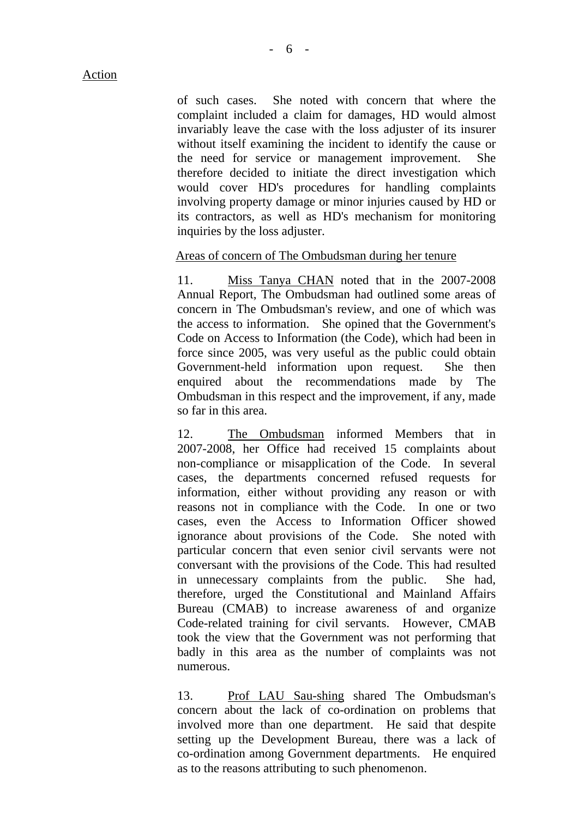of such cases. She noted with concern that where the complaint included a claim for damages, HD would almost invariably leave the case with the loss adjuster of its insurer without itself examining the incident to identify the cause or the need for service or management improvement. She therefore decided to initiate the direct investigation which would cover HD's procedures for handling complaints involving property damage or minor injuries caused by HD or its contractors, as well as HD's mechanism for monitoring inquiries by the loss adjuster.

## Areas of concern of The Ombudsman during her tenure

11. Miss Tanya CHAN noted that in the 2007-2008 Annual Report, The Ombudsman had outlined some areas of concern in The Ombudsman's review, and one of which was the access to information. She opined that the Government's Code on Access to Information (the Code), which had been in force since 2005, was very useful as the public could obtain Government-held information upon request. She then enquired about the recommendations made by The Ombudsman in this respect and the improvement, if any, made so far in this area.

12. The Ombudsman informed Members that in 2007-2008, her Office had received 15 complaints about non-compliance or misapplication of the Code. In several cases, the departments concerned refused requests for information, either without providing any reason or with reasons not in compliance with the Code. In one or two cases, even the Access to Information Officer showed ignorance about provisions of the Code. She noted with particular concern that even senior civil servants were not conversant with the provisions of the Code. This had resulted in unnecessary complaints from the public. She had, therefore, urged the Constitutional and Mainland Affairs Bureau (CMAB) to increase awareness of and organize Code-related training for civil servants. However, CMAB took the view that the Government was not performing that badly in this area as the number of complaints was not numerous.

13. Prof LAU Sau-shing shared The Ombudsman's concern about the lack of co-ordination on problems that involved more than one department. He said that despite setting up the Development Bureau, there was a lack of co-ordination among Government departments. He enquired as to the reasons attributing to such phenomenon.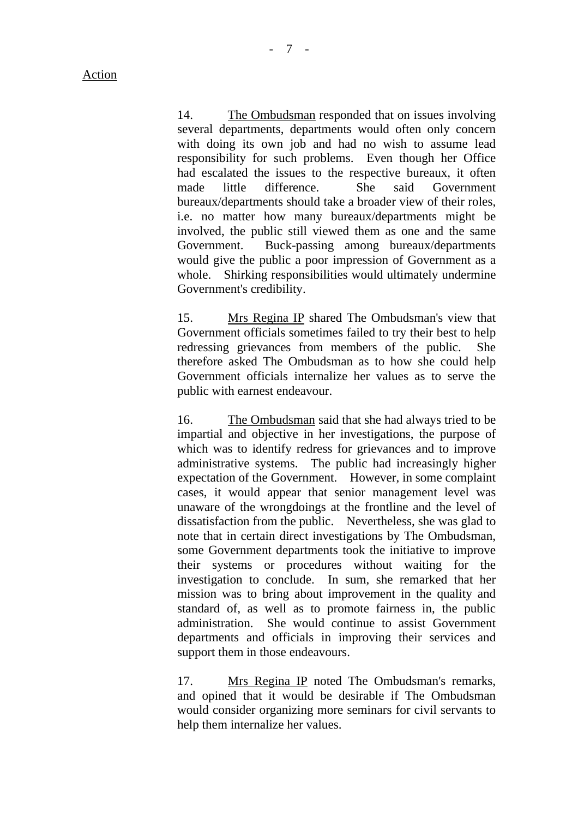14. The Ombudsman responded that on issues involving several departments, departments would often only concern with doing its own job and had no wish to assume lead responsibility for such problems. Even though her Office had escalated the issues to the respective bureaux, it often made little difference. She said Government bureaux/departments should take a broader view of their roles, i.e. no matter how many bureaux/departments might be involved, the public still viewed them as one and the same Government. Buck-passing among bureaux/departments would give the public a poor impression of Government as a whole. Shirking responsibilities would ultimately undermine Government's credibility.

15. Mrs Regina IP shared The Ombudsman's view that Government officials sometimes failed to try their best to help redressing grievances from members of the public. She therefore asked The Ombudsman as to how she could help Government officials internalize her values as to serve the public with earnest endeavour.

16. The Ombudsman said that she had always tried to be impartial and objective in her investigations, the purpose of which was to identify redress for grievances and to improve administrative systems. The public had increasingly higher expectation of the Government. However, in some complaint cases, it would appear that senior management level was unaware of the wrongdoings at the frontline and the level of dissatisfaction from the public. Nevertheless, she was glad to note that in certain direct investigations by The Ombudsman, some Government departments took the initiative to improve their systems or procedures without waiting for the investigation to conclude. In sum, she remarked that her mission was to bring about improvement in the quality and standard of, as well as to promote fairness in, the public administration. She would continue to assist Government departments and officials in improving their services and support them in those endeavours.

17. Mrs Regina IP noted The Ombudsman's remarks, and opined that it would be desirable if The Ombudsman would consider organizing more seminars for civil servants to help them internalize her values.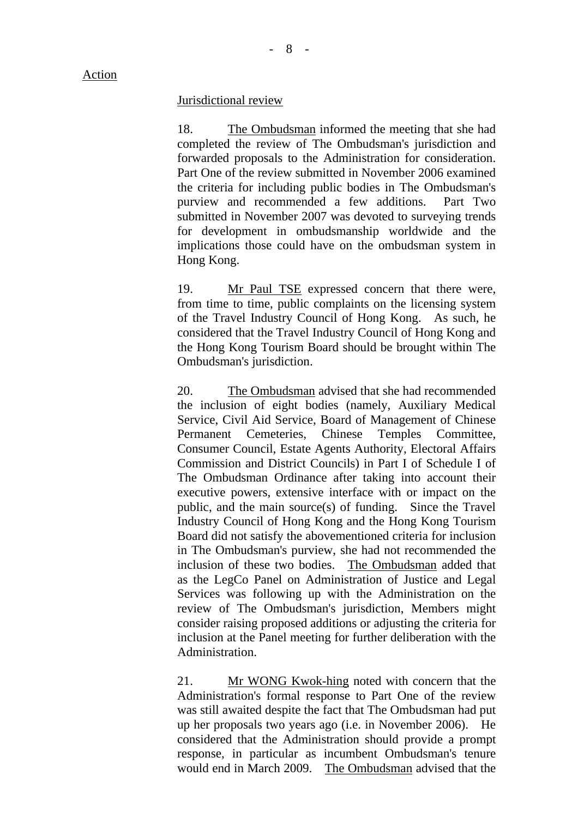Action

### Jurisdictional review

18. The Ombudsman informed the meeting that she had completed the review of The Ombudsman's jurisdiction and forwarded proposals to the Administration for consideration. Part One of the review submitted in November 2006 examined the criteria for including public bodies in The Ombudsman's purview and recommended a few additions. Part Two submitted in November 2007 was devoted to surveying trends for development in ombudsmanship worldwide and the implications those could have on the ombudsman system in Hong Kong.

19. Mr Paul TSE expressed concern that there were, from time to time, public complaints on the licensing system of the Travel Industry Council of Hong Kong. As such, he considered that the Travel Industry Council of Hong Kong and the Hong Kong Tourism Board should be brought within The Ombudsman's jurisdiction.

20. The Ombudsman advised that she had recommended the inclusion of eight bodies (namely, Auxiliary Medical Service, Civil Aid Service, Board of Management of Chinese Permanent Cemeteries, Chinese Temples Committee, Consumer Council, Estate Agents Authority, Electoral Affairs Commission and District Councils) in Part I of Schedule I of The Ombudsman Ordinance after taking into account their executive powers, extensive interface with or impact on the public, and the main source(s) of funding. Since the Travel Industry Council of Hong Kong and the Hong Kong Tourism Board did not satisfy the abovementioned criteria for inclusion in The Ombudsman's purview, she had not recommended the inclusion of these two bodies. The Ombudsman added that as the LegCo Panel on Administration of Justice and Legal Services was following up with the Administration on the review of The Ombudsman's jurisdiction, Members might consider raising proposed additions or adjusting the criteria for inclusion at the Panel meeting for further deliberation with the Administration.

21. Mr WONG Kwok-hing noted with concern that the Administration's formal response to Part One of the review was still awaited despite the fact that The Ombudsman had put up her proposals two years ago (i.e. in November 2006). He considered that the Administration should provide a prompt response, in particular as incumbent Ombudsman's tenure would end in March 2009. The Ombudsman advised that the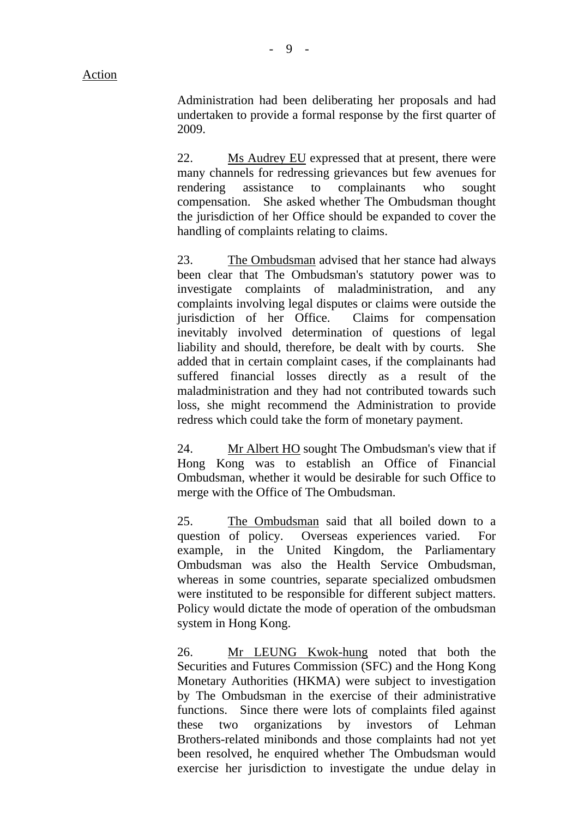Administration had been deliberating her proposals and had undertaken to provide a formal response by the first quarter of 2009.

22. Ms Audrey EU expressed that at present, there were many channels for redressing grievances but few avenues for rendering assistance to complainants who sought compensation. She asked whether The Ombudsman thought the jurisdiction of her Office should be expanded to cover the handling of complaints relating to claims.

23. The Ombudsman advised that her stance had always been clear that The Ombudsman's statutory power was to investigate complaints of maladministration, and any complaints involving legal disputes or claims were outside the jurisdiction of her Office. Claims for compensation inevitably involved determination of questions of legal liability and should, therefore, be dealt with by courts. She added that in certain complaint cases, if the complainants had suffered financial losses directly as a result of the maladministration and they had not contributed towards such loss, she might recommend the Administration to provide redress which could take the form of monetary payment.

24. Mr Albert HO sought The Ombudsman's view that if Hong Kong was to establish an Office of Financial Ombudsman, whether it would be desirable for such Office to merge with the Office of The Ombudsman.

25. The Ombudsman said that all boiled down to a question of policy. Overseas experiences varied. For example, in the United Kingdom, the Parliamentary Ombudsman was also the Health Service Ombudsman, whereas in some countries, separate specialized ombudsmen were instituted to be responsible for different subject matters. Policy would dictate the mode of operation of the ombudsman system in Hong Kong.

26. Mr LEUNG Kwok-hung noted that both the Securities and Futures Commission (SFC) and the Hong Kong Monetary Authorities (HKMA) were subject to investigation by The Ombudsman in the exercise of their administrative functions. Since there were lots of complaints filed against these two organizations by investors of Lehman Brothers-related minibonds and those complaints had not yet been resolved, he enquired whether The Ombudsman would exercise her jurisdiction to investigate the undue delay in